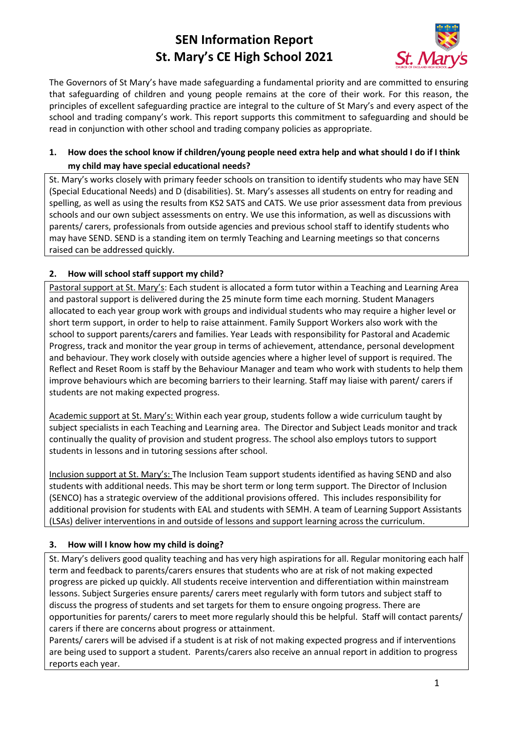# **SEN Information Report St. Mary's CE High School 2021**



The Governors of St Mary's have made safeguarding a fundamental priority and are committed to ensuring that safeguarding of children and young people remains at the core of their work. For this reason, the principles of excellent safeguarding practice are integral to the culture of St Mary's and every aspect of the school and trading company's work. This report supports this commitment to safeguarding and should be read in conjunction with other school and trading company policies as appropriate.

### **1. How does the school know if children/young people need extra help and what should I do if I think my child may have special educational needs?**

St. Mary's works closely with primary feeder schools on transition to identify students who may have SEN (Special Educational Needs) and D (disabilities). St. Mary's assesses all students on entry for reading and spelling, as well as using the results from KS2 SATS and CATS. We use prior assessment data from previous schools and our own subject assessments on entry. We use this information, as well as discussions with parents/ carers, professionals from outside agencies and previous school staff to identify students who may have SEND. SEND is a standing item on termly Teaching and Learning meetings so that concerns raised can be addressed quickly.

### **2. How will school staff support my child?**

Pastoral support at St. Mary's: Each student is allocated a form tutor within a Teaching and Learning Area and pastoral support is delivered during the 25 minute form time each morning. Student Managers allocated to each year group work with groups and individual students who may require a higher level or short term support, in order to help to raise attainment. Family Support Workers also work with the school to support parents/carers and families. Year Leads with responsibility for Pastoral and Academic Progress, track and monitor the year group in terms of achievement, attendance, personal development and behaviour. They work closely with outside agencies where a higher level of support is required. The Reflect and Reset Room is staff by the Behaviour Manager and team who work with students to help them improve behaviours which are becoming barriers to their learning. Staff may liaise with parent/ carers if students are not making expected progress.

Academic support at St. Mary's: Within each year group, students follow a wide curriculum taught by subject specialists in each Teaching and Learning area. The Director and Subject Leads monitor and track continually the quality of provision and student progress. The school also employs tutors to support students in lessons and in tutoring sessions after school.

Inclusion support at St. Mary's: The Inclusion Team support students identified as having SEND and also students with additional needs. This may be short term or long term support. The Director of Inclusion (SENCO) has a strategic overview of the additional provisions offered. This includes responsibility for additional provision for students with EAL and students with SEMH. A team of Learning Support Assistants (LSAs) deliver interventions in and outside of lessons and support learning across the curriculum.

### **3. How will I know how my child is doing?**

St. Mary's delivers good quality teaching and has very high aspirations for all. Regular monitoring each half term and feedback to parents/carers ensures that students who are at risk of not making expected progress are picked up quickly. All students receive intervention and differentiation within mainstream lessons. Subject Surgeries ensure parents/ carers meet regularly with form tutors and subject staff to discuss the progress of students and set targets for them to ensure ongoing progress. There are opportunities for parents/ carers to meet more regularly should this be helpful. Staff will contact parents/ carers if there are concerns about progress or attainment.

Parents/ carers will be advised if a student is at risk of not making expected progress and if interventions are being used to support a student. Parents/carers also receive an annual report in addition to progress reports each year.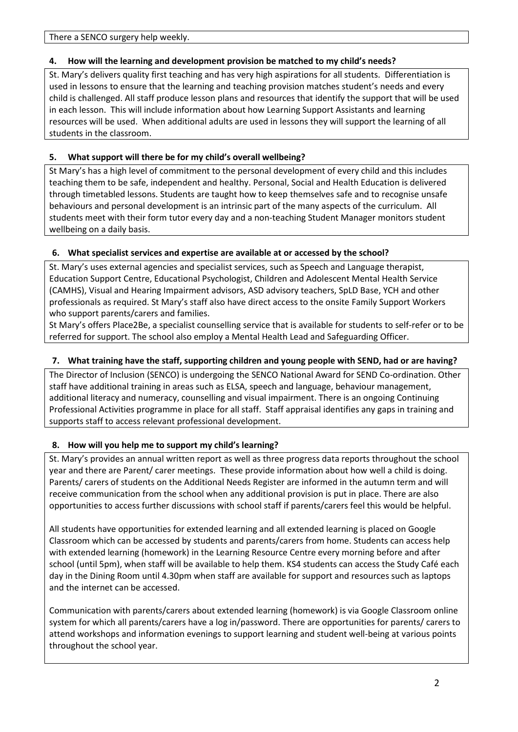### **4. How will the learning and development provision be matched to my child's needs?**

St. Mary's delivers quality first teaching and has very high aspirations for all students. Differentiation is used in lessons to ensure that the learning and teaching provision matches student's needs and every child is challenged. All staff produce lesson plans and resources that identify the support that will be used in each lesson. This will include information about how Learning Support Assistants and learning resources will be used. When additional adults are used in lessons they will support the learning of all students in the classroom.

# **5. What support will there be for my child's overall wellbeing?**

St Mary's has a high level of commitment to the personal development of every child and this includes teaching them to be safe, independent and healthy. Personal, Social and Health Education is delivered through timetabled lessons. Students are taught how to keep themselves safe and to recognise unsafe behaviours and personal development is an intrinsic part of the many aspects of the curriculum. All students meet with their form tutor every day and a non-teaching Student Manager monitors student wellbeing on a daily basis.

# **6. What specialist services and expertise are available at or accessed by the school?**

St. Mary's uses external agencies and specialist services, such as Speech and Language therapist, Education Support Centre, Educational Psychologist, Children and Adolescent Mental Health Service (CAMHS), Visual and Hearing Impairment advisors, ASD advisory teachers, SpLD Base, YCH and other professionals as required. St Mary's staff also have direct access to the onsite Family Support Workers who support parents/carers and families.

St Mary's offers Place2Be, a specialist counselling service that is available for students to self-refer or to be referred for support. The school also employ a Mental Health Lead and Safeguarding Officer.

# **7. What training have the staff, supporting children and young people with SEND, had or are having?**

The Director of Inclusion (SENCO) is undergoing the SENCO National Award for SEND Co-ordination. Other staff have additional training in areas such as ELSA, speech and language, behaviour management, additional literacy and numeracy, counselling and visual impairment. There is an ongoing Continuing Professional Activities programme in place for all staff. Staff appraisal identifies any gaps in training and supports staff to access relevant professional development.

# **8. How will you help me to support my child's learning?**

St. Mary's provides an annual written report as well as three progress data reports throughout the school year and there are Parent/ carer meetings. These provide information about how well a child is doing. Parents/ carers of students on the Additional Needs Register are informed in the autumn term and will receive communication from the school when any additional provision is put in place. There are also opportunities to access further discussions with school staff if parents/carers feel this would be helpful.

All students have opportunities for extended learning and all extended learning is placed on Google Classroom which can be accessed by students and parents/carers from home. Students can access help with extended learning (homework) in the Learning Resource Centre every morning before and after school (until 5pm), when staff will be available to help them. KS4 students can access the Study Café each day in the Dining Room until 4.30pm when staff are available for support and resources such as laptops and the internet can be accessed.

Communication with parents/carers about extended learning (homework) is via Google Classroom online system for which all parents/carers have a log in/password. There are opportunities for parents/ carers to attend workshops and information evenings to support learning and student well-being at various points throughout the school year.